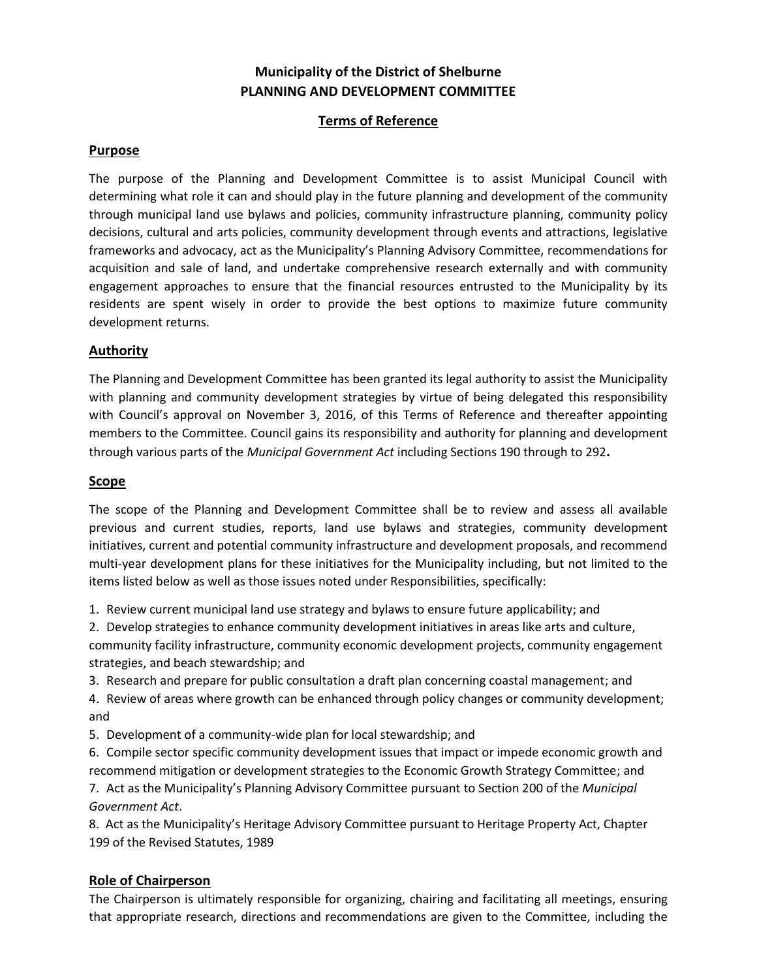# **Municipality of the District of Shelburne PLANNING AND DEVELOPMENT COMMITTEE**

# **Terms of Reference**

## **Purpose**

The purpose of the Planning and Development Committee is to assist Municipal Council with determining what role it can and should play in the future planning and development of the community through municipal land use bylaws and policies, community infrastructure planning, community policy decisions, cultural and arts policies, community development through events and attractions, legislative frameworks and advocacy, act as the Municipality's Planning Advisory Committee, recommendations for acquisition and sale of land, and undertake comprehensive research externally and with community engagement approaches to ensure that the financial resources entrusted to the Municipality by its residents are spent wisely in order to provide the best options to maximize future community development returns.

## **Authority**

The Planning and Development Committee has been granted its legal authority to assist the Municipality with planning and community development strategies by virtue of being delegated this responsibility with Council's approval on November 3, 2016, of this Terms of Reference and thereafter appointing members to the Committee. Council gains its responsibility and authority for planning and development through various parts of the *Municipal Government Act* including Sections 190 through to 292**.**

#### **Scope**

The scope of the Planning and Development Committee shall be to review and assess all available previous and current studies, reports, land use bylaws and strategies, community development initiatives, current and potential community infrastructure and development proposals, and recommend multi-year development plans for these initiatives for the Municipality including, but not limited to the items listed below as well as those issues noted under Responsibilities, specifically:

1. Review current municipal land use strategy and bylaws to ensure future applicability; and

2. Develop strategies to enhance community development initiatives in areas like arts and culture, community facility infrastructure, community economic development projects, community engagement strategies, and beach stewardship; and

3. Research and prepare for public consultation a draft plan concerning coastal management; and

4. Review of areas where growth can be enhanced through policy changes or community development; and

5. Development of a community-wide plan for local stewardship; and

6. Compile sector specific community development issues that impact or impede economic growth and recommend mitigation or development strategies to the Economic Growth Strategy Committee; and

7. Act as the Municipality's Planning Advisory Committee pursuant to Section 200 of the *Municipal Government Act*.

8. Act as the Municipality's Heritage Advisory Committee pursuant to Heritage Property Act, Chapter 199 of the Revised Statutes, 1989

## **Role of Chairperson**

The Chairperson is ultimately responsible for organizing, chairing and facilitating all meetings, ensuring that appropriate research, directions and recommendations are given to the Committee, including the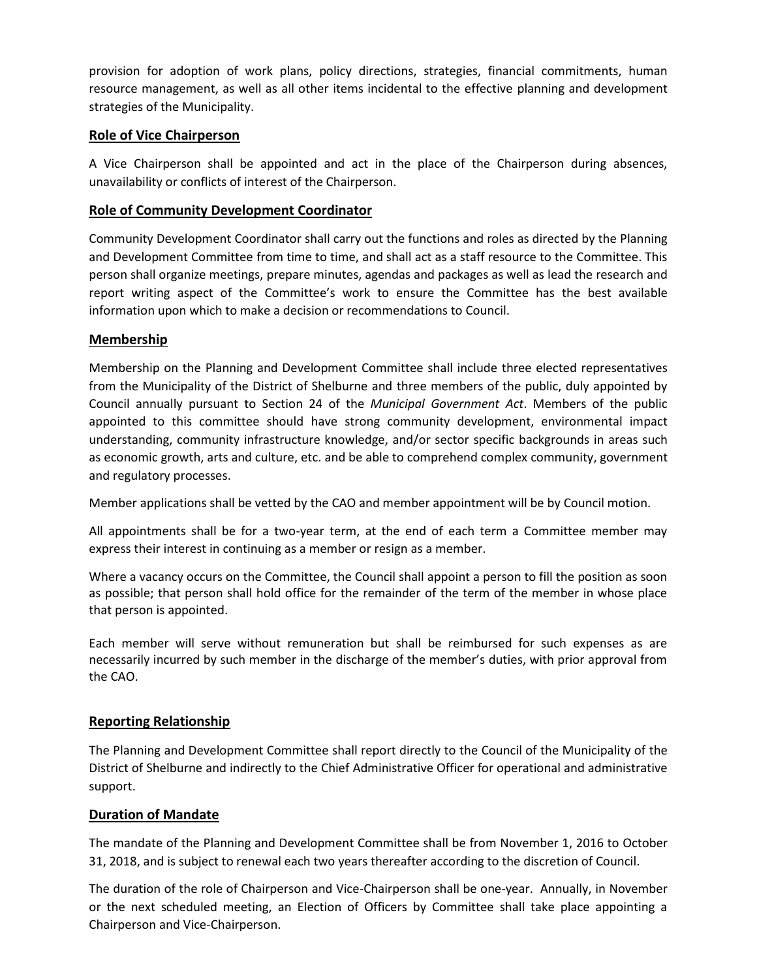provision for adoption of work plans, policy directions, strategies, financial commitments, human resource management, as well as all other items incidental to the effective planning and development strategies of the Municipality.

## **Role of Vice Chairperson**

A Vice Chairperson shall be appointed and act in the place of the Chairperson during absences, unavailability or conflicts of interest of the Chairperson.

#### **Role of Community Development Coordinator**

Community Development Coordinator shall carry out the functions and roles as directed by the Planning and Development Committee from time to time, and shall act as a staff resource to the Committee. This person shall organize meetings, prepare minutes, agendas and packages as well as lead the research and report writing aspect of the Committee's work to ensure the Committee has the best available information upon which to make a decision or recommendations to Council.

#### **Membership**

Membership on the Planning and Development Committee shall include three elected representatives from the Municipality of the District of Shelburne and three members of the public, duly appointed by Council annually pursuant to Section 24 of the *Municipal Government Act*. Members of the public appointed to this committee should have strong community development, environmental impact understanding, community infrastructure knowledge, and/or sector specific backgrounds in areas such as economic growth, arts and culture, etc. and be able to comprehend complex community, government and regulatory processes.

Member applications shall be vetted by the CAO and member appointment will be by Council motion.

All appointments shall be for a two-year term, at the end of each term a Committee member may express their interest in continuing as a member or resign as a member.

Where a vacancy occurs on the Committee, the Council shall appoint a person to fill the position as soon as possible; that person shall hold office for the remainder of the term of the member in whose place that person is appointed.

Each member will serve without remuneration but shall be reimbursed for such expenses as are necessarily incurred by such member in the discharge of the member's duties, with prior approval from the CAO.

## **Reporting Relationship**

The Planning and Development Committee shall report directly to the Council of the Municipality of the District of Shelburne and indirectly to the Chief Administrative Officer for operational and administrative support.

#### **Duration of Mandate**

The mandate of the Planning and Development Committee shall be from November 1, 2016 to October 31, 2018, and is subject to renewal each two years thereafter according to the discretion of Council.

The duration of the role of Chairperson and Vice-Chairperson shall be one-year. Annually, in November or the next scheduled meeting, an Election of Officers by Committee shall take place appointing a Chairperson and Vice-Chairperson.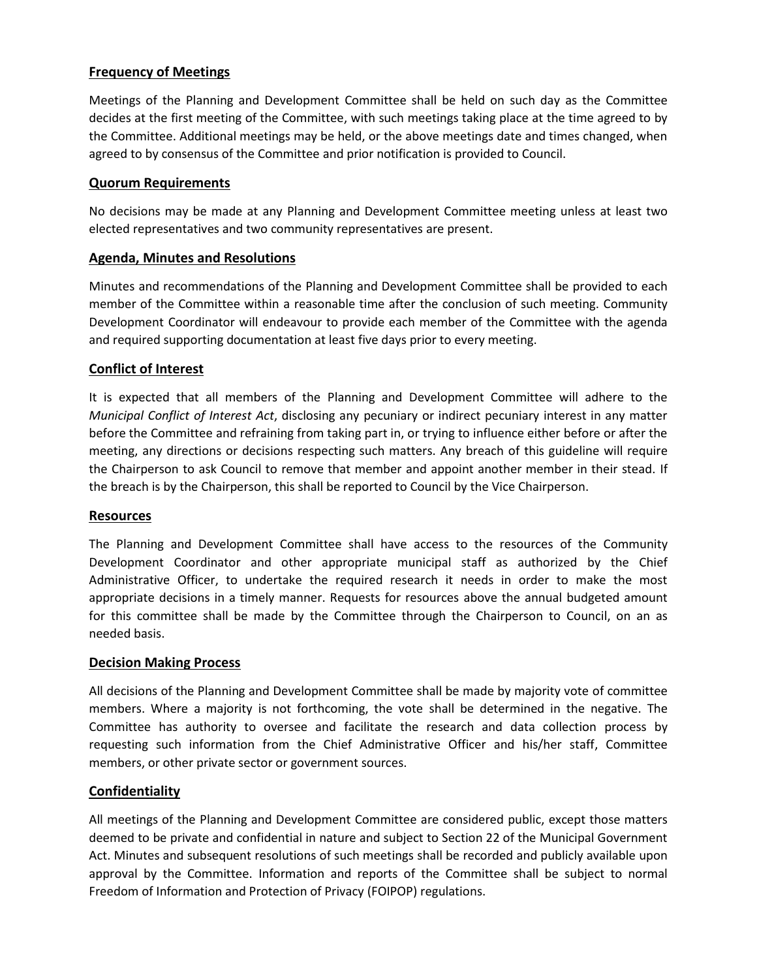## **Frequency of Meetings**

Meetings of the Planning and Development Committee shall be held on such day as the Committee decides at the first meeting of the Committee, with such meetings taking place at the time agreed to by the Committee. Additional meetings may be held, or the above meetings date and times changed, when agreed to by consensus of the Committee and prior notification is provided to Council.

#### **Quorum Requirements**

No decisions may be made at any Planning and Development Committee meeting unless at least two elected representatives and two community representatives are present.

#### **Agenda, Minutes and Resolutions**

Minutes and recommendations of the Planning and Development Committee shall be provided to each member of the Committee within a reasonable time after the conclusion of such meeting. Community Development Coordinator will endeavour to provide each member of the Committee with the agenda and required supporting documentation at least five days prior to every meeting.

#### **Conflict of Interest**

It is expected that all members of the Planning and Development Committee will adhere to the *Municipal Conflict of Interest Act*, disclosing any pecuniary or indirect pecuniary interest in any matter before the Committee and refraining from taking part in, or trying to influence either before or after the meeting, any directions or decisions respecting such matters. Any breach of this guideline will require the Chairperson to ask Council to remove that member and appoint another member in their stead. If the breach is by the Chairperson, this shall be reported to Council by the Vice Chairperson.

#### **Resources**

The Planning and Development Committee shall have access to the resources of the Community Development Coordinator and other appropriate municipal staff as authorized by the Chief Administrative Officer, to undertake the required research it needs in order to make the most appropriate decisions in a timely manner. Requests for resources above the annual budgeted amount for this committee shall be made by the Committee through the Chairperson to Council, on an as needed basis.

#### **Decision Making Process**

All decisions of the Planning and Development Committee shall be made by majority vote of committee members. Where a majority is not forthcoming, the vote shall be determined in the negative. The Committee has authority to oversee and facilitate the research and data collection process by requesting such information from the Chief Administrative Officer and his/her staff, Committee members, or other private sector or government sources.

## **Confidentiality**

All meetings of the Planning and Development Committee are considered public, except those matters deemed to be private and confidential in nature and subject to Section 22 of the Municipal Government Act. Minutes and subsequent resolutions of such meetings shall be recorded and publicly available upon approval by the Committee. Information and reports of the Committee shall be subject to normal Freedom of Information and Protection of Privacy (FOIPOP) regulations.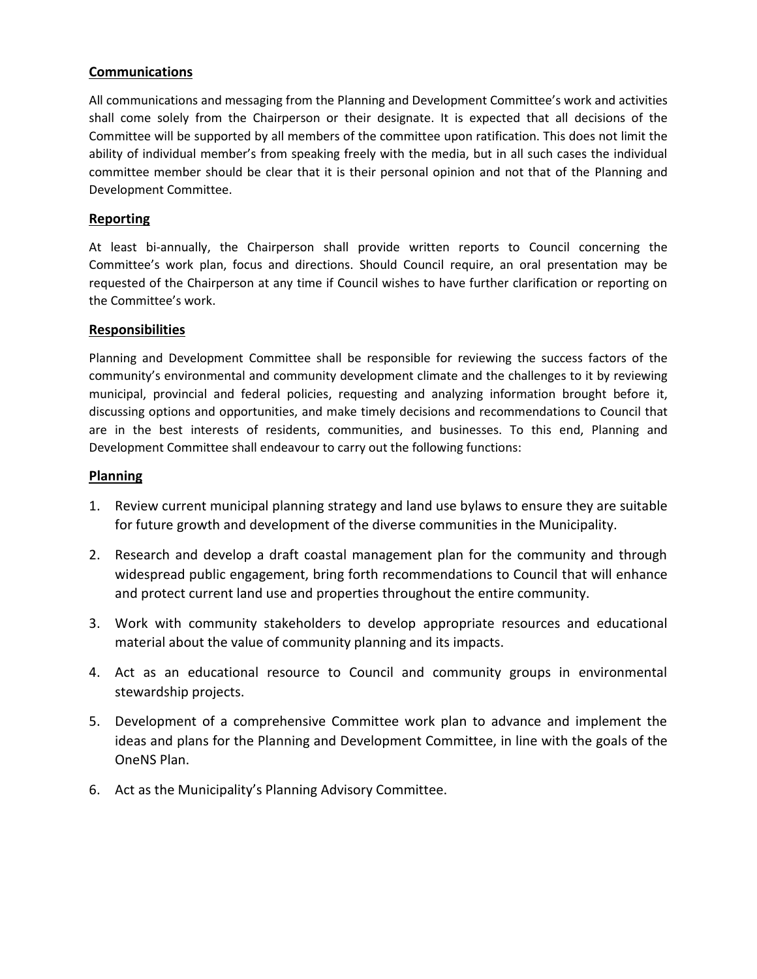## **Communications**

All communications and messaging from the Planning and Development Committee's work and activities shall come solely from the Chairperson or their designate. It is expected that all decisions of the Committee will be supported by all members of the committee upon ratification. This does not limit the ability of individual member's from speaking freely with the media, but in all such cases the individual committee member should be clear that it is their personal opinion and not that of the Planning and Development Committee.

## **Reporting**

At least bi-annually, the Chairperson shall provide written reports to Council concerning the Committee's work plan, focus and directions. Should Council require, an oral presentation may be requested of the Chairperson at any time if Council wishes to have further clarification or reporting on the Committee's work.

#### **Responsibilities**

Planning and Development Committee shall be responsible for reviewing the success factors of the community's environmental and community development climate and the challenges to it by reviewing municipal, provincial and federal policies, requesting and analyzing information brought before it, discussing options and opportunities, and make timely decisions and recommendations to Council that are in the best interests of residents, communities, and businesses. To this end, Planning and Development Committee shall endeavour to carry out the following functions:

#### **Planning**

- 1. Review current municipal planning strategy and land use bylaws to ensure they are suitable for future growth and development of the diverse communities in the Municipality.
- 2. Research and develop a draft coastal management plan for the community and through widespread public engagement, bring forth recommendations to Council that will enhance and protect current land use and properties throughout the entire community.
- 3. Work with community stakeholders to develop appropriate resources and educational material about the value of community planning and its impacts.
- 4. Act as an educational resource to Council and community groups in environmental stewardship projects.
- 5. Development of a comprehensive Committee work plan to advance and implement the ideas and plans for the Planning and Development Committee, in line with the goals of the OneNS Plan.
- 6. Act as the Municipality's Planning Advisory Committee.